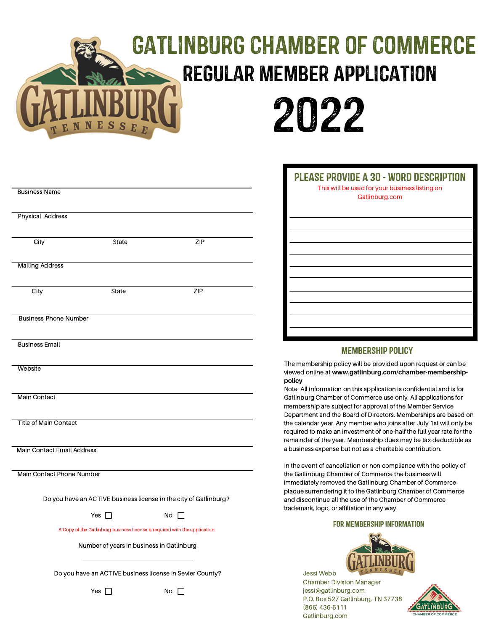# Gatlinburg Chamber of Commerce Regular Member Application



|                                                                   |                                                                                                                          |      | P                                |
|-------------------------------------------------------------------|--------------------------------------------------------------------------------------------------------------------------|------|----------------------------------|
| <b>Business Name</b>                                              |                                                                                                                          |      |                                  |
| <b>Physical Address</b>                                           |                                                                                                                          |      |                                  |
| City                                                              | State                                                                                                                    | ZIP  |                                  |
| <b>Mailing Address</b>                                            |                                                                                                                          |      |                                  |
| City                                                              | State                                                                                                                    | ZIP  |                                  |
|                                                                   |                                                                                                                          |      |                                  |
| <b>Business Phone Number</b>                                      |                                                                                                                          |      |                                  |
| <b>Business Email</b>                                             |                                                                                                                          |      |                                  |
| Website                                                           |                                                                                                                          |      | The n<br>viewe<br>polic<br>Note: |
| Main Contact                                                      |                                                                                                                          |      | Gatlir<br>meml<br>Depa           |
| <b>Title of Main Contact</b>                                      |                                                                                                                          |      | the ca<br>requi<br>remai         |
| Main Contact Email Address                                        |                                                                                                                          |      | a bus                            |
| <b>Main Contact Phone Number</b>                                  |                                                                                                                          |      | In the<br>the G<br>imme          |
| Do you have an ACTIVE business license in the city of Gatlinburg? |                                                                                                                          |      | plaqu<br>and c<br>trade          |
|                                                                   | Yes  <br>$\mathcal{L}$                                                                                                   | No ∐ |                                  |
|                                                                   | A Copy of the Gatlinburg business license is required with the application.<br>Number of years in business in Gatlinburg |      |                                  |
|                                                                   | Do you have an ACTIVE business license in Sevier County?                                                                 |      |                                  |

Yes  $\Box$  No  $\Box$ 

| <b>PLEASE PROVIDE A 30 - WORD DESCRIPTION</b><br>This will be used for your business listing on<br>Gatlinburg.com |  |  |  |  |
|-------------------------------------------------------------------------------------------------------------------|--|--|--|--|
|                                                                                                                   |  |  |  |  |
|                                                                                                                   |  |  |  |  |
|                                                                                                                   |  |  |  |  |
|                                                                                                                   |  |  |  |  |
|                                                                                                                   |  |  |  |  |
|                                                                                                                   |  |  |  |  |
|                                                                                                                   |  |  |  |  |
|                                                                                                                   |  |  |  |  |
|                                                                                                                   |  |  |  |  |
|                                                                                                                   |  |  |  |  |
|                                                                                                                   |  |  |  |  |

### Membership Policy

nembership policy will be provided upon request or can be ed online at www.gatlinburg.com/chamber-membership**policy**

All information on this application is confidential and is for hburg Chamber of Commerce use only. All applications for bership are subject for approval of the Member Service irtment and the Board of Directors. Memberships are based on alendar year. Any member who joins after July 1st will only be red to make an investment of one-half the full year rate for the inder of the year. Membership dues may be tax-deductible as siness expense but not as a charitable contribution.

event of cancellation or non compliance with the policy of atlinburg Chamber of Commerce the business will ediately removed the Gatlinburg Chamber of Commerce ue surrendering it to the Gatlinburg Chamber of Commerce liscontinue all the use of the Chamber of Commerce mark, logo, or affiliation in any way.

#### For Membership Information



Jessi Webb Chamber Division Manager jessi@gatlinburg.com P.O. Box 527 Gatlinburg, TN 37738 (865) 436-5111 Gatlinburg.com